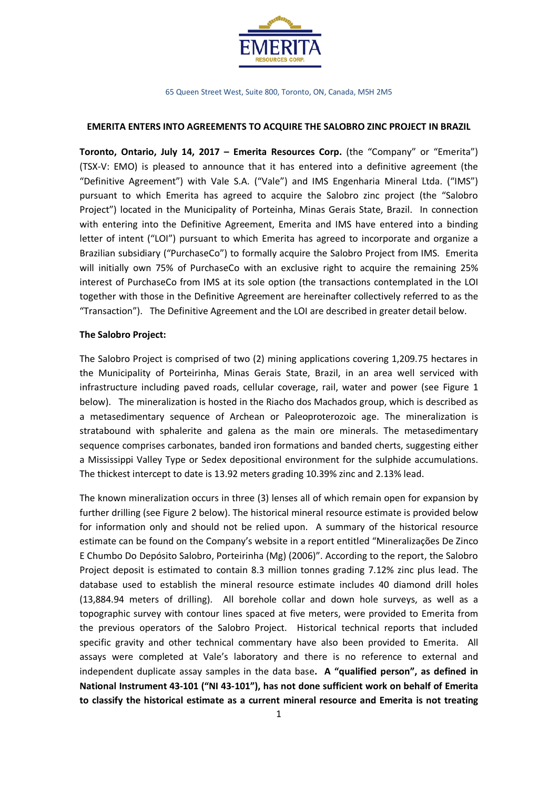

#### **EMERITA ENTERS INTO AGREEMENTS TO ACQUIRE THE SALOBRO ZINC PROJECT IN BRAZIL**

**Toronto, Ontario, July 14, 2017 – Emerita Resources Corp.** (the "Company" or "Emerita") (TSX-V: EMO) is pleased to announce that it has entered into a definitive agreement (the "Definitive Agreement") with Vale S.A. ("Vale") and IMS Engenharia Mineral Ltda. ("IMS") pursuant to which Emerita has agreed to acquire the Salobro zinc project (the "Salobro Project") located in the Municipality of Porteinha, Minas Gerais State, Brazil. In connection with entering into the Definitive Agreement, Emerita and IMS have entered into a binding letter of intent ("LOI") pursuant to which Emerita has agreed to incorporate and organize a Brazilian subsidiary ("PurchaseCo") to formally acquire the Salobro Project from IMS. Emerita will initially own 75% of PurchaseCo with an exclusive right to acquire the remaining 25% interest of PurchaseCo from IMS at its sole option (the transactions contemplated in the LOI together with those in the Definitive Agreement are hereinafter collectively referred to as the "Transaction"). The Definitive Agreement and the LOI are described in greater detail below.

### **The Salobro Project:**

The Salobro Project is comprised of two (2) mining applications covering 1,209.75 hectares in the Municipality of Porteirinha, Minas Gerais State, Brazil, in an area well serviced with infrastructure including paved roads, cellular coverage, rail, water and power (see Figure 1 below). The mineralization is hosted in the Riacho dos Machados group, which is described as a metasedimentary sequence of Archean or Paleoproterozoic age. The mineralization is stratabound with sphalerite and galena as the main ore minerals. The metasedimentary sequence comprises carbonates, banded iron formations and banded cherts, suggesting either a Mississippi Valley Type or Sedex depositional environment for the sulphide accumulations. The thickest intercept to date is 13.92 meters grading 10.39% zinc and 2.13% lead.

The known mineralization occurs in three (3) lenses all of which remain open for expansion by further drilling (see Figure 2 below). The historical mineral resource estimate is provided below for information only and should not be relied upon. A summary of the historical resource estimate can be found on the Company's website in a report entitled "Mineralizações De Zinco E Chumbo Do Depósito Salobro, Porteirinha (Mg) (2006)". According to the report, the Salobro Project deposit is estimated to contain 8.3 million tonnes grading 7.12% zinc plus lead. The database used to establish the mineral resource estimate includes 40 diamond drill holes (13,884.94 meters of drilling). All borehole collar and down hole surveys, as well as a topographic survey with contour lines spaced at five meters, were provided to Emerita from the previous operators of the Salobro Project. Historical technical reports that included specific gravity and other technical commentary have also been provided to Emerita. All assays were completed at Vale's laboratory and there is no reference to external and independent duplicate assay samples in the data base**. A "qualified person", as defined in National Instrument 43-101 ("NI 43-101"), has not done sufficient work on behalf of Emerita to classify the historical estimate as a current mineral resource and Emerita is not treating**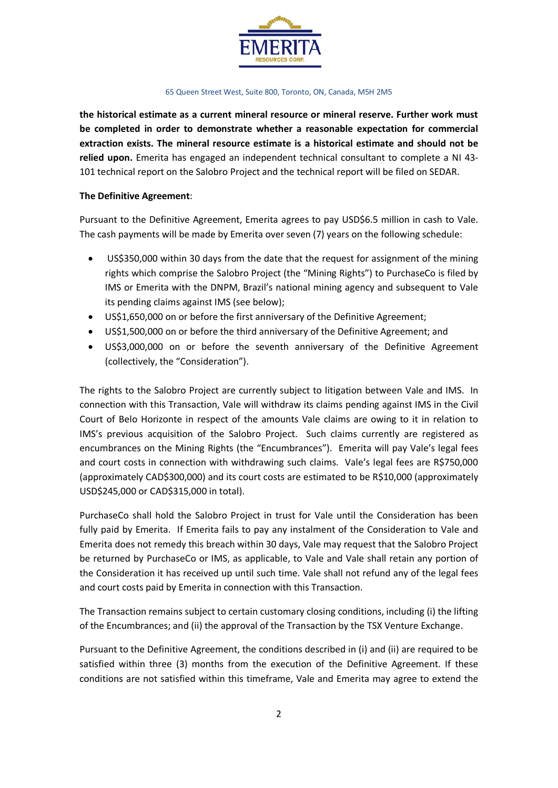

**the historical estimate as a current mineral resource or mineral reserve. Further work must be completed in order to demonstrate whether a reasonable expectation for commercial extraction exists. The mineral resource estimate is a historical estimate and should not be relied upon.** Emerita has engaged an independent technical consultant to complete a NI 43- 101 technical report on the Salobro Project and the technical report will be filed on SEDAR.

# **The Definitive Agreement**:

Pursuant to the Definitive Agreement, Emerita agrees to pay USD\$6.5 million in cash to Vale. The cash payments will be made by Emerita over seven (7) years on the following schedule:

- US\$350,000 within 30 days from the date that the request for assignment of the mining rights which comprise the Salobro Project (the "Mining Rights") to PurchaseCo is filed by IMS or Emerita with the DNPM, Brazil's national mining agency and subsequent to Vale its pending claims against IMS (see below);
- US\$1,650,000 on or before the first anniversary of the Definitive Agreement;
- US\$1,500,000 on or before the third anniversary of the Definitive Agreement; and
- US\$3,000,000 on or before the seventh anniversary of the Definitive Agreement (collectively, the "Consideration").

The rights to the Salobro Project are currently subject to litigation between Vale and IMS. In connection with this Transaction, Vale will withdraw its claims pending against IMS in the Civil Court of Belo Horizonte in respect of the amounts Vale claims are owing to it in relation to IMS's previous acquisition of the Salobro Project. Such claims currently are registered as encumbrances on the Mining Rights (the "Encumbrances"). Emerita will pay Vale's legal fees and court costs in connection with withdrawing such claims. Vale's legal fees are R\$750,000 (approximately CAD\$300,000) and its court costs are estimated to be R\$10,000 (approximately USD\$245,000 or CAD\$315,000 in total).

PurchaseCo shall hold the Salobro Project in trust for Vale until the Consideration has been fully paid by Emerita. If Emerita fails to pay any instalment of the Consideration to Vale and Emerita does not remedy this breach within 30 days, Vale may request that the Salobro Project be returned by PurchaseCo or IMS, as applicable, to Vale and Vale shall retain any portion of the Consideration it has received up until such time. Vale shall not refund any of the legal fees and court costs paid by Emerita in connection with this Transaction.

The Transaction remains subject to certain customary closing conditions, including (i) the lifting of the Encumbrances; and (ii) the approval of the Transaction by the TSX Venture Exchange.

Pursuant to the Definitive Agreement, the conditions described in (i) and (ii) are required to be satisfied within three (3) months from the execution of the Definitive Agreement. If these conditions are not satisfied within this timeframe, Vale and Emerita may agree to extend the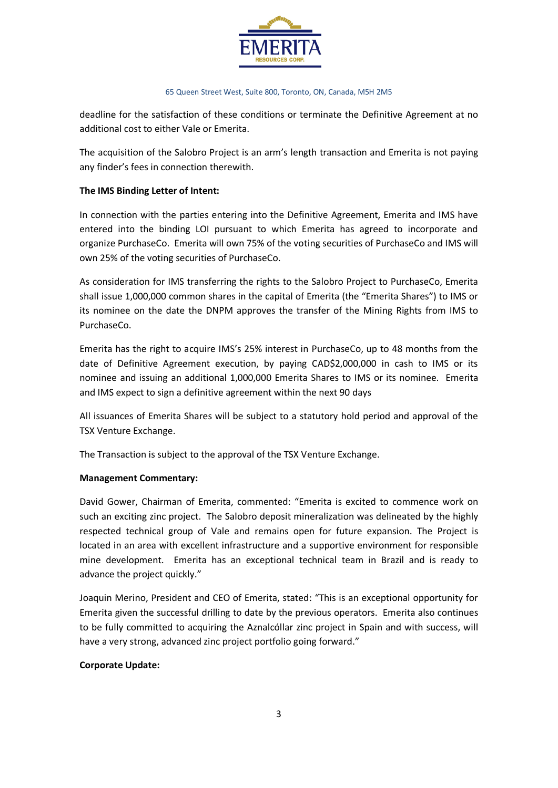

deadline for the satisfaction of these conditions or terminate the Definitive Agreement at no additional cost to either Vale or Emerita.

The acquisition of the Salobro Project is an arm's length transaction and Emerita is not paying any finder's fees in connection therewith.

# **The IMS Binding Letter of Intent:**

In connection with the parties entering into the Definitive Agreement, Emerita and IMS have entered into the binding LOI pursuant to which Emerita has agreed to incorporate and organize PurchaseCo. Emerita will own 75% of the voting securities of PurchaseCo and IMS will own 25% of the voting securities of PurchaseCo.

As consideration for IMS transferring the rights to the Salobro Project to PurchaseCo, Emerita shall issue 1,000,000 common shares in the capital of Emerita (the "Emerita Shares") to IMS or its nominee on the date the DNPM approves the transfer of the Mining Rights from IMS to PurchaseCo.

Emerita has the right to acquire IMS's 25% interest in PurchaseCo, up to 48 months from the date of Definitive Agreement execution, by paying CAD\$2,000,000 in cash to IMS or its nominee and issuing an additional 1,000,000 Emerita Shares to IMS or its nominee. Emerita and IMS expect to sign a definitive agreement within the next 90 days

All issuances of Emerita Shares will be subject to a statutory hold period and approval of the TSX Venture Exchange.

The Transaction is subject to the approval of the TSX Venture Exchange.

# **Management Commentary:**

David Gower, Chairman of Emerita, commented: "Emerita is excited to commence work on such an exciting zinc project. The Salobro deposit mineralization was delineated by the highly respected technical group of Vale and remains open for future expansion. The Project is located in an area with excellent infrastructure and a supportive environment for responsible mine development. Emerita has an exceptional technical team in Brazil and is ready to advance the project quickly."

Joaquin Merino, President and CEO of Emerita, stated: "This is an exceptional opportunity for Emerita given the successful drilling to date by the previous operators. Emerita also continues to be fully committed to acquiring the Aznalcóllar zinc project in Spain and with success, will have a very strong, advanced zinc project portfolio going forward."

# **Corporate Update:**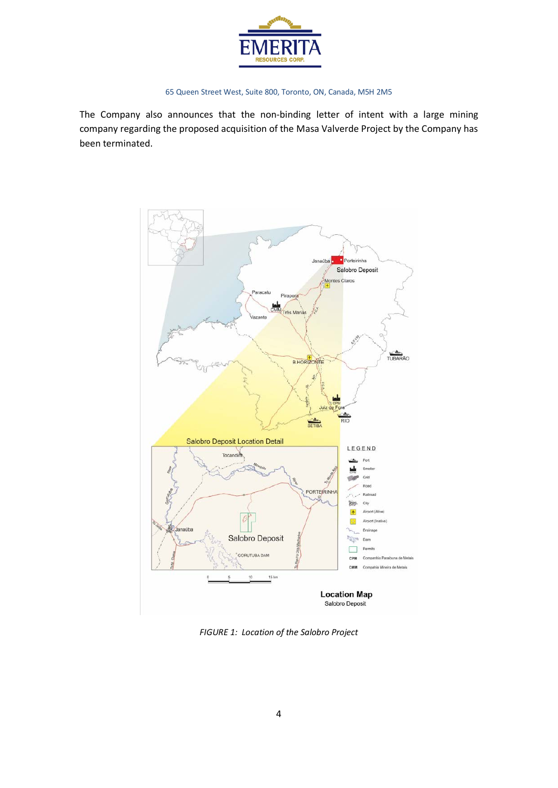

The Company also announces that the non-binding letter of intent with a large mining company regarding the proposed acquisition of the Masa Valverde Project by the Company has been terminated.



*FIGURE 1: Location of the Salobro Project*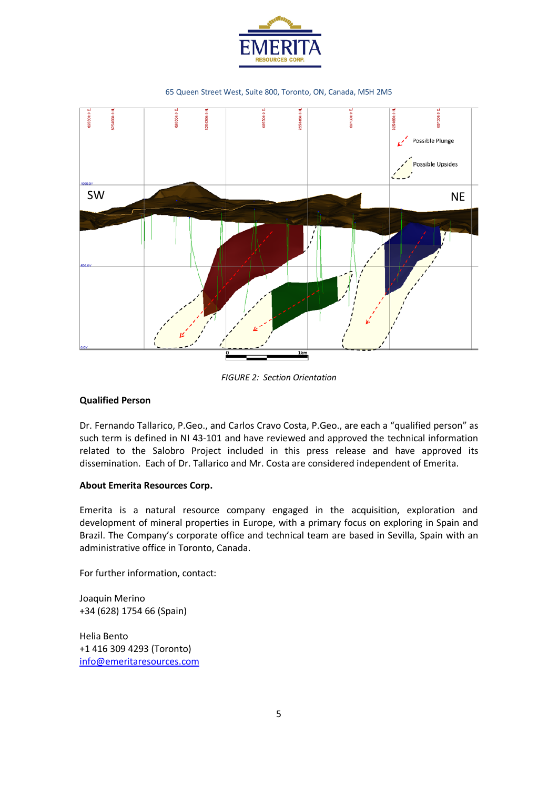

65 Queen Street West, Suite 800, Toronto, ON, Canada, M5H 2M5



*FIGURE 2: Section Orientation*

# **Qualified Person**

Dr. Fernando Tallarico, P.Geo., and Carlos Cravo Costa, P.Geo., are each a "qualified person" as such term is defined in NI 43-101 and have reviewed and approved the technical information related to the Salobro Project included in this press release and have approved its dissemination. Each of Dr. Tallarico and Mr. Costa are considered independent of Emerita.

# **About Emerita Resources Corp.**

Emerita is a natural resource company engaged in the acquisition, exploration and development of mineral properties in Europe, with a primary focus on exploring in Spain and Brazil. The Company's corporate office and technical team are based in Sevilla, Spain with an administrative office in Toronto, Canada.

For further information, contact:

Joaquin Merino +34 (628) 1754 66 (Spain)

Helia Bento +1 416 309 4293 (Toronto) [info@emeritaresources.com](mailto:info@emeritaresources.com)